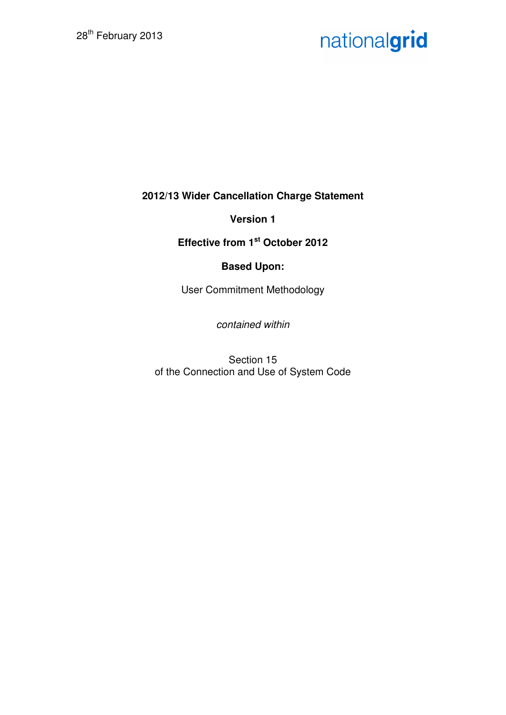# nationalgrid

**2012/13 Wider Cancellation Charge Statement** 

**Version 1** 

**Effective from 1st October 2012** 

# **Based Upon:**

User Commitment Methodology

contained within

Section 15 of the Connection and Use of System Code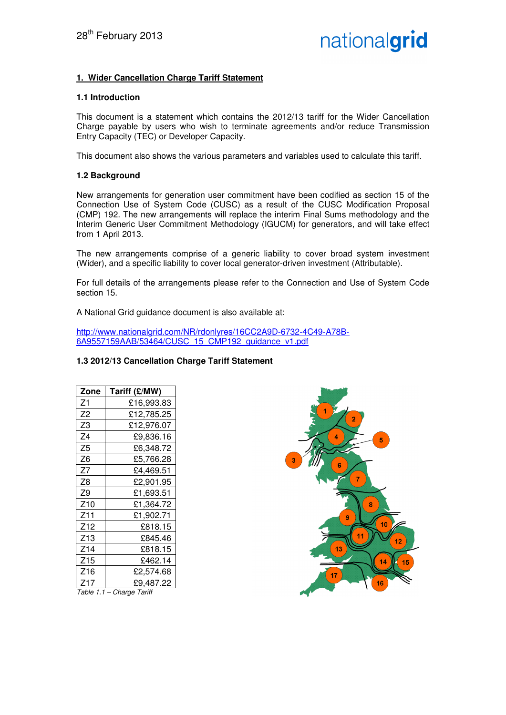## **1. Wider Cancellation Charge Tariff Statement**

#### **1.1 Introduction**

This document is a statement which contains the 2012/13 tariff for the Wider Cancellation Charge payable by users who wish to terminate agreements and/or reduce Transmission Entry Capacity (TEC) or Developer Capacity.

This document also shows the various parameters and variables used to calculate this tariff.

#### **1.2 Background**

New arrangements for generation user commitment have been codified as section 15 of the Connection Use of System Code (CUSC) as a result of the CUSC Modification Proposal (CMP) 192. The new arrangements will replace the interim Final Sums methodology and the Interim Generic User Commitment Methodology (IGUCM) for generators, and will take effect from 1 April 2013.

The new arrangements comprise of a generic liability to cover broad system investment (Wider), and a specific liability to cover local generator-driven investment (Attributable).

For full details of the arrangements please refer to the Connection and Use of System Code section 15.

A National Grid guidance document is also available at:

http://www.nationalgrid.com/NR/rdonlyres/16CC2A9D-6732-4C49-A78B-6A9557159AAB/53464/CUSC\_15\_CMP192\_guidance\_v1.pdf

#### **1.3 2012/13 Cancellation Charge Tariff Statement**

| Zone                      | Tariff (£/MW) |  |
|---------------------------|---------------|--|
| Ζ1                        | £16,993.83    |  |
| Z2                        | £12,785.25    |  |
| Z3                        | £12,976.07    |  |
| Ζ4                        | £9,836.16     |  |
| Ζ5                        | £6,348.72     |  |
| Z6                        | £5,766.28     |  |
| Z7                        | £4,469.51     |  |
| Z8                        | £2,901.95     |  |
| Z9                        | £1.693.51     |  |
| Z10                       | £1,364.72     |  |
| Z11                       | £1,902.71     |  |
| Z12                       | £818.15       |  |
| Z13                       | £845.46       |  |
| Z14                       | £818.15       |  |
| Z15                       | £462.14       |  |
| Z16                       | £2,574.68     |  |
| Z17                       | £9,487.22     |  |
| Table 1.1 - Charge Tariff |               |  |

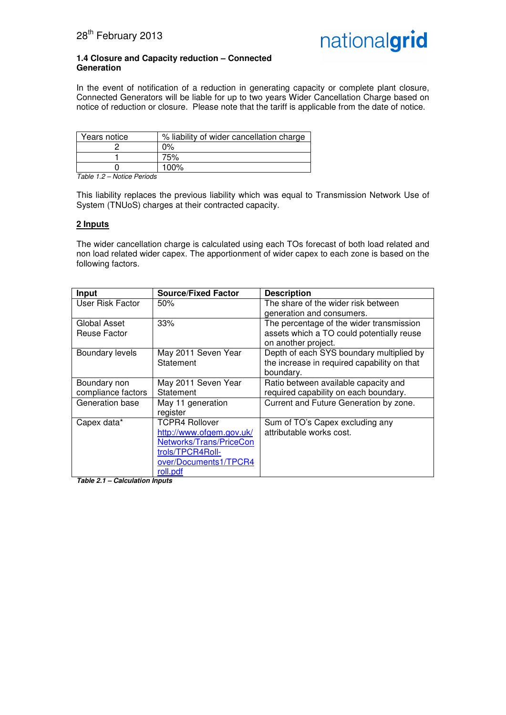

#### **1.4 Closure and Capacity reduction – Connected Generation**

In the event of notification of a reduction in generating capacity or complete plant closure, Connected Generators will be liable for up to two years Wider Cancellation Charge based on notice of reduction or closure. Please note that the tariff is applicable from the date of notice.

| Years notice | % liability of wider cancellation charge |
|--------------|------------------------------------------|
|              | $0\%$                                    |
|              | 75%                                      |
|              | 100%                                     |

Table 1.2 – Notice Periods

This liability replaces the previous liability which was equal to Transmission Network Use of System (TNUoS) charges at their contracted capacity.

#### **2 Inputs**

The wider cancellation charge is calculated using each TOs forecast of both load related and non load related wider capex. The apportionment of wider capex to each zone is based on the following factors.

| Input                                  | <b>Source/Fixed Factor</b> | <b>Description</b>                          |
|----------------------------------------|----------------------------|---------------------------------------------|
| User Risk Factor                       | 50%                        | The share of the wider risk between         |
|                                        |                            | generation and consumers.                   |
| Global Asset                           | 33%                        | The percentage of the wider transmission    |
| Reuse Factor                           |                            | assets which a TO could potentially reuse   |
|                                        |                            | on another project.                         |
| Boundary levels                        | May 2011 Seven Year        | Depth of each SYS boundary multiplied by    |
|                                        | Statement                  | the increase in required capability on that |
|                                        |                            | boundary.                                   |
| Boundary non                           | May 2011 Seven Year        | Ratio between available capacity and        |
| compliance factors                     | Statement                  | required capability on each boundary.       |
| Generation base                        | May 11 generation          | Current and Future Generation by zone.      |
|                                        | register                   |                                             |
| Capex data*                            | <b>TCPR4 Rollover</b>      | Sum of TO's Capex excluding any             |
|                                        | http://www.ofgem.gov.uk/   | attributable works cost.                    |
|                                        | Networks/Trans/PriceCon    |                                             |
|                                        | trols/TPCR4Roll-           |                                             |
|                                        | over/Documents1/TPCR4      |                                             |
| $T - Ll - \Delta$<br>Oslaubation Innut | roll.pdf                   |                                             |

**Table 2.1 – Calculation Inputs**